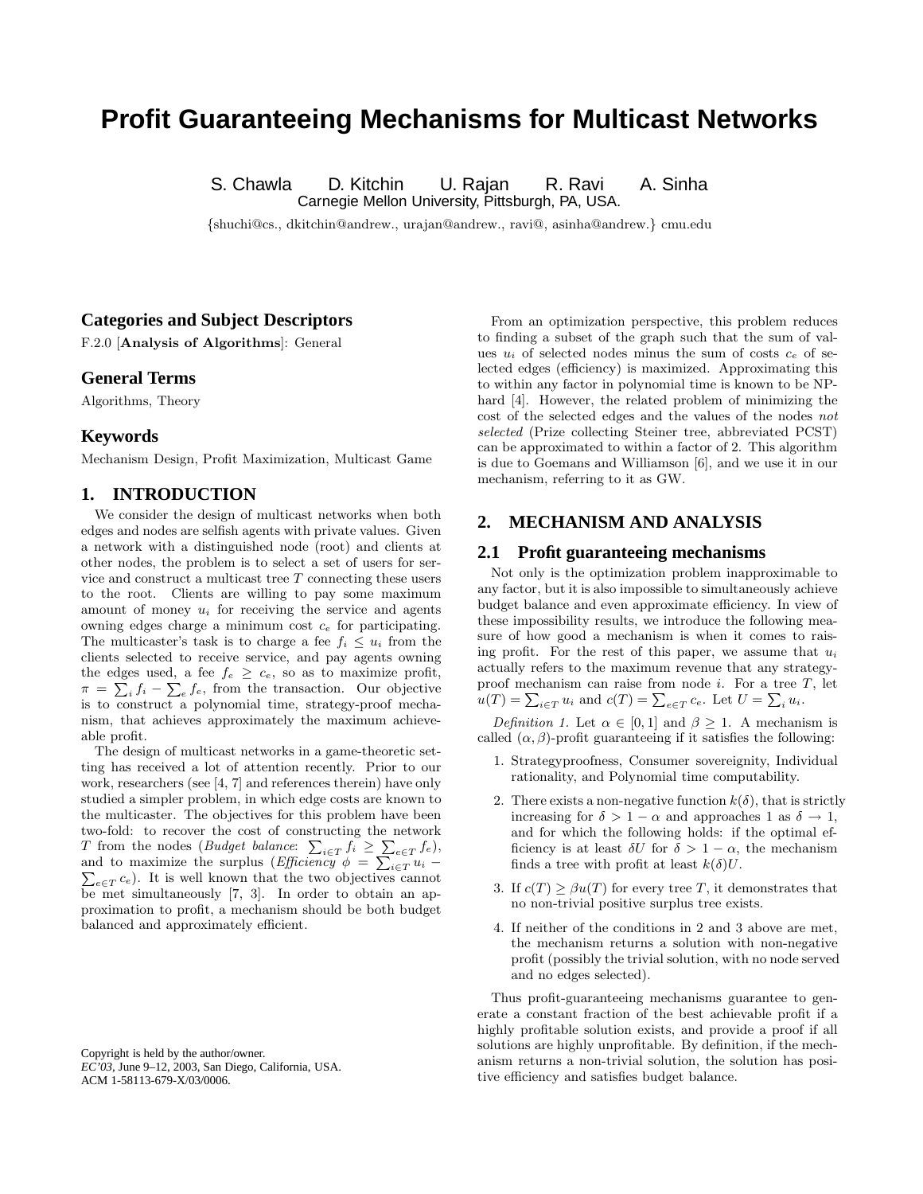# **Profit Guaranteeing Mechanisms for Multicast Networks**

S. Chawla D. Kitchin U. Rajan R. Ravi A. Sinha

Carnegie Mellon University, Pittsburgh, PA, USA.

{shuchi@cs., dkitchin@andrew., urajan@andrew., ravi@, asinha@andrew.} cmu.edu

## **Categories and Subject Descriptors**

F.2.0 [Analysis of Algorithms]: General

#### **General Terms**

Algorithms, Theory

## **Keywords**

Mechanism Design, Profit Maximization, Multicast Game

## **1. INTRODUCTION**

We consider the design of multicast networks when both edges and nodes are selfish agents with private values. Given a network with a distinguished node (root) and clients at other nodes, the problem is to select a set of users for service and construct a multicast tree T connecting these users to the root. Clients are willing to pay some maximum amount of money  $u_i$  for receiving the service and agents owning edges charge a minimum cost  $c_e$  for participating. The multicaster's task is to charge a fee  $f_i \leq u_i$  from the clients selected to receive service, and pay agents owning the edges used, a fee  $f_e \geq c_e$ , so as to maximize profit,  $\pi = \sum_i f_i - \sum_e f_e$ , from the transaction. Our objective is to construct a polynomial time, strategy-proof mechanism, that achieves approximately the maximum achieveable profit.

The design of multicast networks in a game-theoretic setting has received a lot of attention recently. Prior to our work, researchers (see [4, 7] and references therein) have only studied a simpler problem, in which edge costs are known to the multicaster. The objectives for this problem have been two-fold: to recover the cost of constructing the network T from the nodes (Budget balance:  $\sum_{i \in T} f_i \geq \sum_{e \in T} f_e$ ), and to maximize the surplus (*Efficiency*  $\phi = \sum_{i \in \mathcal{T}} u_i$  –  $_{e \in T} c_e$ ). It is well known that the two objectives cannot be met simultaneously [7, 3]. In order to obtain an approximation to profit, a mechanism should be both budget balanced and approximately efficient.

Copyright is held by the author/owner. *EC'03,* June 9–12, 2003, San Diego, California, USA. ACM 1-58113-679-X/03/0006.

From an optimization perspective, this problem reduces to finding a subset of the graph such that the sum of values  $u_i$  of selected nodes minus the sum of costs  $c_e$  of selected edges (efficiency) is maximized. Approximating this to within any factor in polynomial time is known to be NPhard [4]. However, the related problem of minimizing the cost of the selected edges and the values of the nodes not selected (Prize collecting Steiner tree, abbreviated PCST) can be approximated to within a factor of 2. This algorithm is due to Goemans and Williamson [6], and we use it in our mechanism, referring to it as GW.

# **2. MECHANISM AND ANALYSIS**

#### **2.1 Profit guaranteeing mechanisms**

Not only is the optimization problem inapproximable to any factor, but it is also impossible to simultaneously achieve budget balance and even approximate efficiency. In view of these impossibility results, we introduce the following measure of how good a mechanism is when it comes to raising profit. For the rest of this paper, we assume that  $u_i$ actually refers to the maximum revenue that any strategyproof mechanism can raise from node  $i$ . For a tree  $T$ , let  $u(T) = \sum_{i \in T} u_i$  and  $c(T) = \sum_{e \in T} c_e$ . Let  $U = \sum_i u_i$ .

Definition 1. Let  $\alpha \in [0,1]$  and  $\beta \geq 1$ . A mechanism is called  $(\alpha, \beta)$ -profit guaranteeing if it satisfies the following:

- 1. Strategyproofness, Consumer sovereignity, Individual rationality, and Polynomial time computability.
- 2. There exists a non-negative function  $k(\delta)$ , that is strictly increasing for  $\delta > 1 - \alpha$  and approaches 1 as  $\delta \rightarrow 1$ , and for which the following holds: if the optimal efficiency is at least  $\delta U$  for  $\delta > 1 - \alpha$ , the mechanism finds a tree with profit at least  $k(\delta)U$ .
- 3. If  $c(T) > \beta u(T)$  for every tree T, it demonstrates that no non-trivial positive surplus tree exists.
- 4. If neither of the conditions in 2 and 3 above are met, the mechanism returns a solution with non-negative profit (possibly the trivial solution, with no node served and no edges selected).

Thus profit-guaranteeing mechanisms guarantee to generate a constant fraction of the best achievable profit if a highly profitable solution exists, and provide a proof if all solutions are highly unprofitable. By definition, if the mechanism returns a non-trivial solution, the solution has positive efficiency and satisfies budget balance.